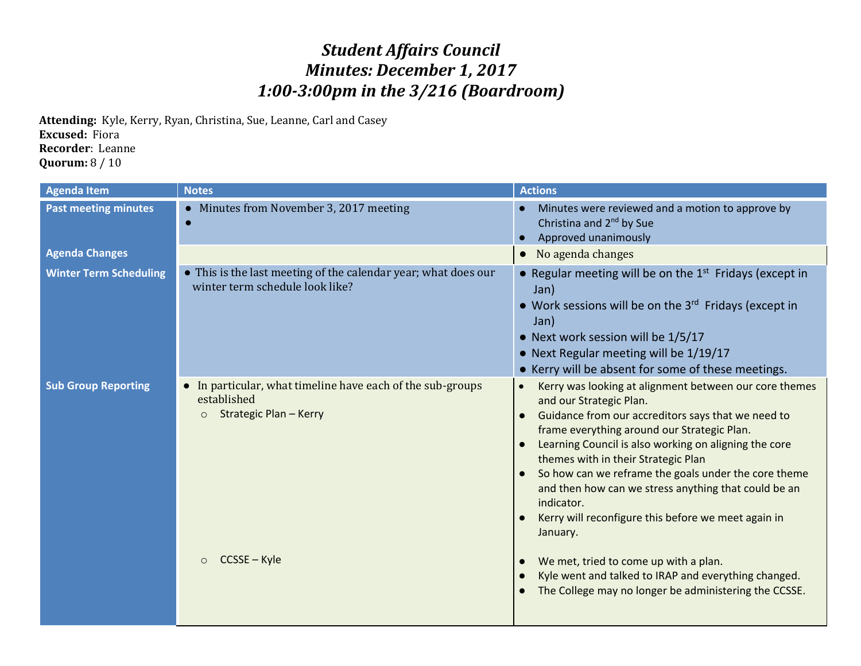## *Student Affairs Council Minutes: December 1, 2017 1:00-3:00pm in the 3/216 (Boardroom)*

**Attending:** Kyle, Kerry, Ryan, Christina, Sue, Leanne, Carl and Casey **Excused:** Fiora **Recorder**: Leanne **Quorum:** 8 / 10

| <b>Agenda Item</b>            | <b>Notes</b>                                                                                                 | <b>Actions</b>                                                                                                                                                                                                                                                                                                                                                                                                                                                                                                    |
|-------------------------------|--------------------------------------------------------------------------------------------------------------|-------------------------------------------------------------------------------------------------------------------------------------------------------------------------------------------------------------------------------------------------------------------------------------------------------------------------------------------------------------------------------------------------------------------------------------------------------------------------------------------------------------------|
| <b>Past meeting minutes</b>   | • Minutes from November 3, 2017 meeting                                                                      | Minutes were reviewed and a motion to approve by<br>Christina and 2 <sup>nd</sup> by Sue<br>Approved unanimously                                                                                                                                                                                                                                                                                                                                                                                                  |
| <b>Agenda Changes</b>         |                                                                                                              | No agenda changes                                                                                                                                                                                                                                                                                                                                                                                                                                                                                                 |
| <b>Winter Term Scheduling</b> | • This is the last meeting of the calendar year; what does our<br>winter term schedule look like?            | • Regular meeting will be on the $1st$ Fridays (except in<br>Jan)<br>• Work sessions will be on the 3rd Fridays (except in<br>Jan)<br>• Next work session will be 1/5/17<br>• Next Regular meeting will be 1/19/17<br>• Kerry will be absent for some of these meetings.                                                                                                                                                                                                                                          |
| <b>Sub Group Reporting</b>    | In particular, what timeline have each of the sub-groups<br>established<br>Strategic Plan - Kerry<br>$\circ$ | Kerry was looking at alignment between our core themes<br>and our Strategic Plan.<br>Guidance from our accreditors says that we need to<br>$\bullet$<br>frame everything around our Strategic Plan.<br>Learning Council is also working on aligning the core<br>themes with in their Strategic Plan<br>So how can we reframe the goals under the core theme<br>$\bullet$<br>and then how can we stress anything that could be an<br>indicator.<br>Kerry will reconfigure this before we meet again in<br>January. |
|                               | CCSSE - Kyle<br>$\circ$                                                                                      | We met, tried to come up with a plan.<br>Kyle went and talked to IRAP and everything changed.<br>The College may no longer be administering the CCSSE.                                                                                                                                                                                                                                                                                                                                                            |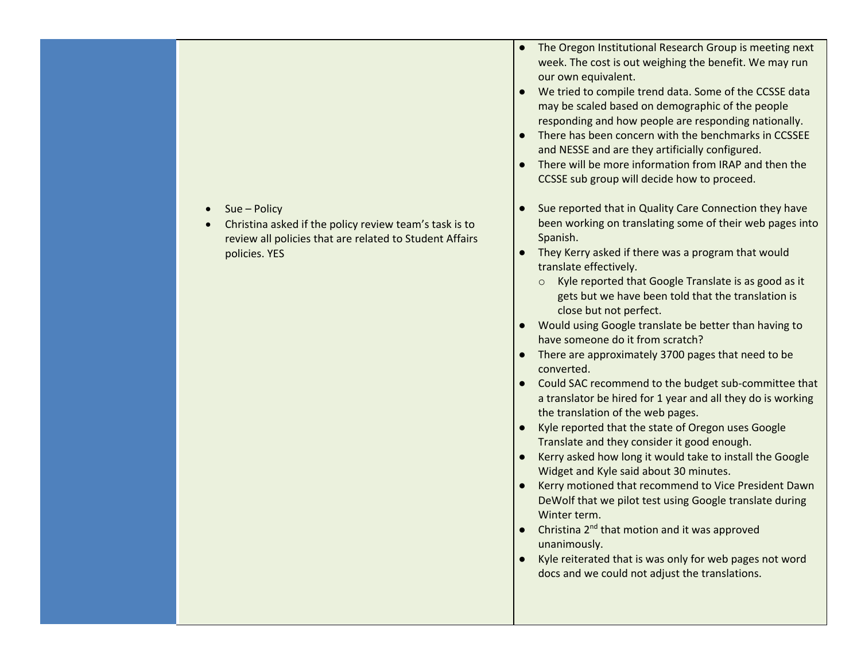- Sue Policy
- Christina asked if the policy review team's task is to review all policies that are related to Student Affairs policies. YES
- The Oregon Institutional Research Group is meeting next week. The cost is out weighing the benefit. We may run our own equivalent.
- We tried to compile trend data. Some of the CCSSE data may be scaled based on demographic of the people responding and how people are responding nationally.
- There has been concern with the benchmarks in CCSSEE and NESSE and are they artificially configured.
- There will be more information from IRAP and then the CCSSE sub group will decide how to proceed.
- Sue reported that in Quality Care Connection they have been working on translating some of their web pages into Spanish.
- They Kerry asked if there was a program that would translate effectively.
	- o Kyle reported that Google Translate is as good as it gets but we have been told that the translation is close but not perfect.
- Would using Google translate be better than having to have someone do it from scratch?
- There are approximately 3700 pages that need to be converted.
- Could SAC recommend to the budget sub-committee that a translator be hired for 1 year and all they do is working the translation of the web pages.
- Kyle reported that the state of Oregon uses Google Translate and they consider it good enough.
- Kerry asked how long it would take to install the Google Widget and Kyle said about 30 minutes.
- Kerry motioned that recommend to Vice President Dawn DeWolf that we pilot test using Google translate during Winter term.
- Christina 2<sup>nd</sup> that motion and it was approved unanimously.
- Kyle reiterated that is was only for web pages not word docs and we could not adjust the translations.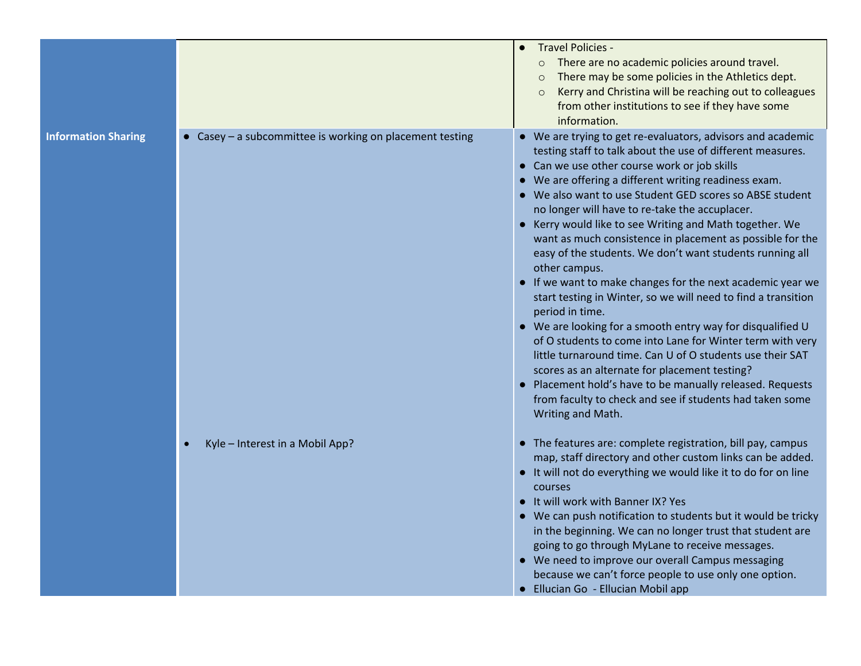|                            |                                                        | Travel Policies -<br>$\bullet$<br>There are no academic policies around travel.<br>$\circ$<br>There may be some policies in the Athletics dept.<br>Kerry and Christina will be reaching out to colleagues<br>from other institutions to see if they have some<br>information.                                                                                                                                                                                                                                                                                                                                                                                                                                                                                                                                                                                                                                                                                                                                                                                                                  |
|----------------------------|--------------------------------------------------------|------------------------------------------------------------------------------------------------------------------------------------------------------------------------------------------------------------------------------------------------------------------------------------------------------------------------------------------------------------------------------------------------------------------------------------------------------------------------------------------------------------------------------------------------------------------------------------------------------------------------------------------------------------------------------------------------------------------------------------------------------------------------------------------------------------------------------------------------------------------------------------------------------------------------------------------------------------------------------------------------------------------------------------------------------------------------------------------------|
| <b>Information Sharing</b> | Casey - a subcommittee is working on placement testing | • We are trying to get re-evaluators, advisors and academic<br>testing staff to talk about the use of different measures.<br>• Can we use other course work or job skills<br>• We are offering a different writing readiness exam.<br>• We also want to use Student GED scores so ABSE student<br>no longer will have to re-take the accuplacer.<br>• Kerry would like to see Writing and Math together. We<br>want as much consistence in placement as possible for the<br>easy of the students. We don't want students running all<br>other campus.<br>• If we want to make changes for the next academic year we<br>start testing in Winter, so we will need to find a transition<br>period in time.<br>• We are looking for a smooth entry way for disqualified U<br>of O students to come into Lane for Winter term with very<br>little turnaround time. Can U of O students use their SAT<br>scores as an alternate for placement testing?<br>• Placement hold's have to be manually released. Requests<br>from faculty to check and see if students had taken some<br>Writing and Math. |
|                            | Kyle - Interest in a Mobil App?                        | • The features are: complete registration, bill pay, campus<br>map, staff directory and other custom links can be added.<br>• It will not do everything we would like it to do for on line<br>courses<br>It will work with Banner IX? Yes<br>• We can push notification to students but it would be tricky<br>in the beginning. We can no longer trust that student are<br>going to go through MyLane to receive messages.<br>• We need to improve our overall Campus messaging<br>because we can't force people to use only one option.<br>• Ellucian Go - Ellucian Mobil app                                                                                                                                                                                                                                                                                                                                                                                                                                                                                                                 |